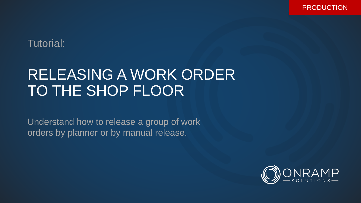PRODUCTION

## Tutorial:

## RELEASING A WORK ORDER TO THE SHOP FLOOR

Understand how to release a group of work orders by planner or by manual release.

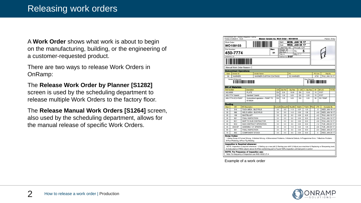A **Work Order** shows what work is about to begin on the manufacturing, building, or the engineering of a customer-requested product.

There are two ways to release Work Orders in OnRamp:

The **Release Work Order by Planner [S1282]**  screen is used by the scheduling department to release multiple Work Orders to the factory floor.

The **Release Manual Work Orders [S1264]** screen, also used by the scheduling department, allows for the manual release of specific Work Orders.

|                                         | WO109103                                                                                                               |  |                         |                                                                                                                                                                                                                                                                                   |      |           | Due:                  | <b>WED. JAN 25 17</b> |                |            |         |            |                       |
|-----------------------------------------|------------------------------------------------------------------------------------------------------------------------|--|-------------------------|-----------------------------------------------------------------------------------------------------------------------------------------------------------------------------------------------------------------------------------------------------------------------------------|------|-----------|-----------------------|-----------------------|----------------|------------|---------|------------|-----------------------|
|                                         |                                                                                                                        |  |                         |                                                                                                                                                                                                                                                                                   |      |           | Label Req: NO         |                       | Pri.Cust.: CAT |            |         |            |                       |
| Part Number:                            |                                                                                                                        |  |                         |                                                                                                                                                                                                                                                                                   | Rev: |           | Weight: 29            | Qtv:                  |                | 5          |         |            |                       |
|                                         | 450-7774                                                                                                               |  |                         |                                                                                                                                                                                                                                                                                   | 01   |           | Std Run: 1<br>Yrlv: 4 |                       | Mfg LT: 7      |            |         |            |                       |
| <b>HANDRAIL AS</b>                      |                                                                                                                        |  |                         |                                                                                                                                                                                                                                                                                   |      |           | Deliver to: 5107      |                       |                |            |         |            |                       |
|                                         |                                                                                                                        |  |                         |                                                                                                                                                                                                                                                                                   |      |           |                       |                       |                |            |         |            |                       |
|                                         | Manual Work Order-Reason: C                                                                                            |  |                         |                                                                                                                                                                                                                                                                                   |      |           |                       |                       |                |            |         |            |                       |
|                                         | <b>Subcontract Operations</b>                                                                                          |  |                         |                                                                                                                                                                                                                                                                                   |      |           |                       |                       |                |            |         |            |                       |
| Vendor ID<br>Oper<br><b>Vendor Name</b> |                                                                                                                        |  |                         |                                                                                                                                                                                                                                                                                   |      |           | PO                    |                       |                |            | PO Line | Ship By    |                       |
| 50                                      | <b>WARNER</b>                                                                                                          |  |                         | <b>WARNER CUSTOM COATINGS</b>                                                                                                                                                                                                                                                     |      |           |                       | <b>SC-WARNER</b>      |                |            |         | 4730       | THU, JAN 19 17        |
|                                         | Vendor ID Barcode:<br>Oper Barcode:<br><u> AT ATATTI TA HII HII HII HII HII </u><br><u>TITTI TUTTI LIITUTTII KIILI</u> |  |                         |                                                                                                                                                                                                                                                                                   |      |           |                       |                       |                |            |         |            |                       |
| <b>Part Number</b>                      | <b>Bill of Materials</b>                                                                                               |  | <b>Description</b>      |                                                                                                                                                                                                                                                                                   |      | <b>UM</b> | <b>Qty Per</b>        | <b>Qty Reg</b>        | C. UM          | C. Qty Req |         | <b>BF</b>  | <b>BFLOC</b><br>PHTM  |
| 442-9000                                |                                                                                                                        |  | PLATE                   |                                                                                                                                                                                                                                                                                   |      | EA        | 2.00                  | 10.00                 | EA             | 10.00      |         | 10         | 5107                  |
|                                         | 450-7774 Tubekit                                                                                                       |  | <b>Handrail Tubekit</b> |                                                                                                                                                                                                                                                                                   |      | EA        | 1.00                  | 5.00                  | EA             | 5.00       |         | 10         | 5107                  |
|                                         | 450-7774-SC2-PAINT                                                                                                     |  | 1E1950H                 | Subcontract operation - PAINT TO                                                                                                                                                                                                                                                  |      | EA        | 1.00                  | 5.00                  | EA             | 5.00       |         | 50         | <b>SC-TEMP</b>        |
| <b>Routing</b>                          |                                                                                                                        |  |                         |                                                                                                                                                                                                                                                                                   |      |           |                       |                       |                |            |         |            |                       |
| Oper                                    | <b>WC</b>                                                                                                              |  | <b>WC</b> Description   |                                                                                                                                                                                                                                                                                   |      | Cycle(M)  | Setup(M)              | Run(M)                | Std(H)         | Tot(H)     | Phtm    | <b>LTO</b> | <b>Complete By</b>    |
| 10                                      | 316                                                                                                                    |  |                         | <b>TACK AREA - BUCYRUS</b>                                                                                                                                                                                                                                                        |      | 3.0       | 5.0                   | 11.0                  | 0.27           | 1.33       |         | $-5$       | <b>WED, JAN 18 17</b> |
| 20                                      | 366                                                                                                                    |  |                         | <b>WELD AREA - BUCYRUS</b>                                                                                                                                                                                                                                                        |      | 3.0       | 5.0                   | 14.0                  | 0.32           | 1.58       |         | $-4.6$     | <b>WED, JAN 18 17</b> |
| 25                                      | 199                                                                                                                    |  | <b>SHOTBLAST</b>        |                                                                                                                                                                                                                                                                                   |      | 3.0       | 2.5                   | 0.5                   | 0.05           | 0.25       |         | $-4.2$     | THU, JAN 19 17        |
| 30                                      | 901                                                                                                                    |  | <b>FINAL INSPECTION</b> |                                                                                                                                                                                                                                                                                   |      | 3.0       | 0.0                   | 0.0                   | 0.00           | 0.00       |         | $-3.8$     | THU, JAN 19 17        |
| 40                                      | SC <sub>1</sub>                                                                                                        |  |                         | SHIP TO SUB CONTRACTOR                                                                                                                                                                                                                                                            |      | 3.0       | 0.0                   | 0.0                   | 0.00           | 0.00       |         | $-3.8$     | THU, JAN 19 17        |
| 50                                      | SC <sub>2</sub>                                                                                                        |  |                         | SUB CONTRACT OPERATION                                                                                                                                                                                                                                                            |      | 3.0       | 0.0                   | 0.0                   | 0.00           | 0.00       |         | $-1.2$     | TUE, JAN 24 17        |
| 55                                      | ASS-SP                                                                                                                 |  |                         | <b>ASSEMBLY AT SPEERS</b>                                                                                                                                                                                                                                                         |      | 3.0       | 3.0                   | 10.0                  | 0.22           | 1.08       |         | $-0.8$     | TUE, JAN 24 17        |
| 60                                      | 901                                                                                                                    |  | FINAL INSPECTION        |                                                                                                                                                                                                                                                                                   |      | 3.0       | 0.0                   | 0.0                   | 0.00           | 0.00       |         | $-0.4$     | <b>WED, JAN 25 17</b> |
| 70                                      | 902                                                                                                                    |  | <b>COMPONENT STOCK</b>  |                                                                                                                                                                                                                                                                                   |      | 3.0       | 0.0                   | 0.0                   | 0.00           | 0.00       |         | 0          | WED, JAN 25 17        |
|                                         | <b>Scrap Codes:</b><br>8-Poor Polishing, 9-Poor Tig Welding<br><b>Inspection is Required whenever:</b>                 |  |                         | 1-Setup Scrap,2-Formed Wrong, 3-Welded Wrong, 4-Dimensional Problems, 5-Material Defects, 6-Programmer Error, 7-Machine Problem,<br>NOTE: Inspection is required whenever: 1) Setting up a new job 2) Starting your shift 3) Adjust your machine 4) Replacing or Sharpening tools |      |           |                       |                       |                |            |         |            |                       |

Example of a work order

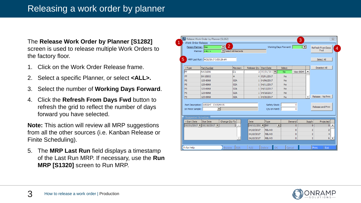The **Release Work Order by Planner [S1282]**  screen is used to release multiple Work Orders to the factory floor.

- 1. Click on the Work Order Release frame.
- 2. Select a specific Planner, or select **<ALL>.**
- 3. Select the number of **Working Days Forward** .
- 4. Click the **Refresh From Days Fwd** button to refresh the grid to reflect the number of days forward you have selected.

**Note:** This action will review all MRP suggestions from all the other sources (i.e. Kanban Release or Finite Scheduling).

5. The **MRP Last Run** field displays a timestamp of the Last Run MRP. If necessary, use the **Run MRP [S1320]** screen to Run MRP.

|                   | Person Planner: Joe                | $\overline{2}$<br>$\vert \mathbf{v} \vert$ |                               |                        |                    | Working Days Forward: | $2 -$          |                          | Refresh From Days<br><b>Fwd</b> |  |  |
|-------------------|------------------------------------|--------------------------------------------|-------------------------------|------------------------|--------------------|-----------------------|----------------|--------------------------|---------------------------------|--|--|
|                   | Planner: <all></all>               | Select All Records                         |                               |                        |                    |                       |                |                          |                                 |  |  |
|                   | MRP Last Run: 4/20/2017 3:53:29 AM |                                            |                               |                        |                    |                       |                |                          | Select All                      |  |  |
| $-$ Type          | Part Number                        |                                            | Revision                      | Release Qty Start Date |                    | Select                |                |                          | Deselect All                    |  |  |
| FP                | AW31906                            |                                            | lc1.                          |                        | 2 05/01/2017       | No.                   | View BOM       | ᅀ                        |                                 |  |  |
| <b>FP</b>         | BW15852                            |                                            | A                             |                        | 4 05/01/2017       | <b>No</b>             |                |                          |                                 |  |  |
| <b>FS</b>         | 125-6968                           |                                            | 02A                           |                        | 1 04/06/2017       | <b>No</b>             |                |                          |                                 |  |  |
| <b>FS</b>         | 125-6968                           |                                            | 02A                           |                        | 1 04/11/2017       | <b>No</b>             |                |                          |                                 |  |  |
| <b>FS</b>         | 125-6968                           |                                            | 02A                           |                        | 1 04/13/2017       | <b>No</b>             |                |                          |                                 |  |  |
| <b>FS</b>         | 125-6968                           |                                            | 02A                           |                        | 1 04/18/2017       | <b>No</b>             |                |                          |                                 |  |  |
| <b>FS</b>         | 125-6968                           |                                            | 02A                           |                        | 1 04/20/2017       | <b>No</b>             |                | $\overline{\phantom{0}}$ | Release - No Print              |  |  |
|                   |                                    |                                            |                               |                        |                    |                       |                |                          |                                 |  |  |
|                   | Part Description: WEIGHT CX15/HX15 |                                            |                               |                        | Safety Stock:<br>0 |                       |                |                          | Release and Print               |  |  |
| 1st Piece Sample: |                                    | $\mathbf{v}$                               |                               |                        | Oty on Hand:       |                       | 0              |                          |                                 |  |  |
|                   | Suggested Schedule                 |                                            |                               |                        |                    |                       |                |                          |                                 |  |  |
| $-Start Date$     | Due Date                           | Change Qty To                              |                               | <b>Date</b>            | Type               |                       | Demand         | Supply                   | Projected                       |  |  |
|                   | $05/01/2017$ - 05/18/2017 -        |                                            | $\triangle$<br>$\overline{2}$ | $04/12/201$ = INV      |                    | $\blacktriangledown$  | $\overline{0}$ | 0                        | ▲<br>$\sigma$                   |  |  |
|                   |                                    |                                            |                               | 04/10/2017             | <b>RELWO</b>       |                       | $\circ$        | 2                        | 2                               |  |  |
|                   |                                    |                                            |                               | 04/10/2017             | <b>RELWO</b>       |                       | 0              | 2                        | 4                               |  |  |
|                   |                                    |                                            |                               | 04/10/2017             | <b>RELWO</b>       |                       | 0              | $\overline{2}$           | 6 <br>$\overline{\phantom{0}}$  |  |  |

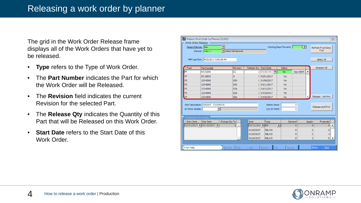The grid in the Work Order Release frame displays all of the Work Orders that have yet to be released.

- **Type** refers to the Type of Work Order.
- The **Part Number** indicates the Part for which the Work Order will be Released.
- The **Revision** field indicates the current Revision for the selected Part.
- The **Release Qty** indicates the Quantity of this Part that will be Released on this Work Order.
- **Start Date** refers to the Start Date of this Work Order.

| Release Work Order by Planner [S1282]<br>$\Sigma$<br>Work Order Release |                                                            |                       |                        |                               |                       |          |                |                          |  |  |  |  |
|-------------------------------------------------------------------------|------------------------------------------------------------|-----------------------|------------------------|-------------------------------|-----------------------|----------|----------------|--------------------------|--|--|--|--|
|                                                                         | Person Planner: Joe<br>Planner: <all></all>                | Select All Records    |                        |                               | Working Days Forward: | $2 -$    |                | Refresh From Days<br>Fwd |  |  |  |  |
| MRP Last Run: 4/20/2017 3:53:29 AM<br>Select All                        |                                                            |                       |                        |                               |                       |          |                |                          |  |  |  |  |
| $\overline{\mathsf{y}}$ Type                                            | Part Number                                                | Revision              | Release Qty Start Date |                               | Select                |          |                | Deselect All             |  |  |  |  |
| FP                                                                      | AW31906                                                    | C1                    |                        | 2 05/01/2017                  | <b>No</b>             | View BOM |                |                          |  |  |  |  |
| <b>FP</b>                                                               | BW15852                                                    | A                     |                        | 4 05/01/2017                  | <b>No</b>             |          |                |                          |  |  |  |  |
| FS                                                                      | 125-6968                                                   | 02A                   |                        | 1 04/06/2017                  | No                    |          |                |                          |  |  |  |  |
| FS                                                                      | 125-6968                                                   | 02A                   |                        | 1 04/11/2017                  | <b>No</b>             |          |                |                          |  |  |  |  |
| FS                                                                      | 125-6968                                                   | 02A                   |                        | 1 04/13/2017                  | <b>No</b>             |          |                |                          |  |  |  |  |
| FS                                                                      | 125-6968                                                   | 02A                   |                        | 1 04/18/2017                  | <b>No</b>             |          |                |                          |  |  |  |  |
| FS                                                                      | 125-6968                                                   | 02A                   |                        | 1 04/20/2017                  | <b>No</b>             |          |                | Release - No Print       |  |  |  |  |
| 1st Piece Sample:                                                       | Part Description: WEIGHT CX15/HX15<br>$\blacktriangledown$ |                       |                        | Safety Stock:<br>Oty on Hand: |                       | 0<br>o   |                | Release and Print        |  |  |  |  |
| Suggested Schedule                                                      |                                                            |                       |                        |                               |                       |          |                |                          |  |  |  |  |
| $-Start Date$                                                           | Due Date                                                   | Change Qty To         | Date                   | Type                          | Demand                |          | Supply         | Projected                |  |  |  |  |
|                                                                         | 05/01/2017   05/18/2017                                    | $\overline{2}$        | 04/12/2017  INV        |                               | ⊻                     | 0        | 0              | 0                        |  |  |  |  |
|                                                                         |                                                            |                       | 04/10/2017             | <b>RELWO</b>                  |                       | o        | $\overline{2}$ | 2                        |  |  |  |  |
|                                                                         |                                                            |                       | 04/10/2017             | <b>RELWO</b>                  |                       | 0        | $\overline{2}$ | 4                        |  |  |  |  |
|                                                                         |                                                            |                       | 04/10/2017             | <b>RELWO</b>                  |                       | Ō        | $\overline{2}$ | 6                        |  |  |  |  |
|                                                                         |                                                            |                       |                        |                               |                       |          |                |                          |  |  |  |  |
| F1 for Help                                                             |                                                            | Edit<br><b>Browse</b> | Add                    | OK<br>Delete                  | Cancel                |          |                | Exit<br>Print            |  |  |  |  |

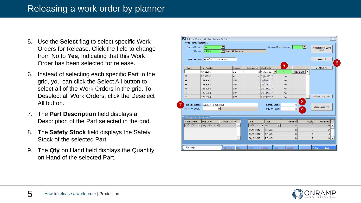- 5. Use the **Select** flag to select specific Work Orders for Release. Click the field to change from No to **Yes**, indicating that this Work Order has been selected for release.
- 6. Instead of selecting each specific Part in the grid, you can click the Select All button to select all of the Work Orders in the grid. To Deselect all Work Orders, click the Deselect All button.
- 7. The **Part Description** field displays a Description of the Part selected in the grid.
- 8. The **Safety Stock** field displays the Safety Stock of the selected Part.
- 9. The **Qty** on Hand field displays the Quantity on Hand of the selected Part.

|  |                                                                                                                                                                        | Release Work Order by Planner [S1282]                      |               |                      |                        |                               |    |        |                  |                          |                    | $\Sigma$                      |  |  |  |
|--|------------------------------------------------------------------------------------------------------------------------------------------------------------------------|------------------------------------------------------------|---------------|----------------------|------------------------|-------------------------------|----|--------|------------------|--------------------------|--------------------|-------------------------------|--|--|--|
|  | Work Order Release                                                                                                                                                     |                                                            |               |                      |                        |                               |    |        |                  |                          |                    |                               |  |  |  |
|  | $2 -$<br>Person Planner: Joe<br>Working Days Forward:<br>$\blacktriangledown$<br>Refresh From Days<br>$\blacktriangleright$ Select All Records<br>Planner: <all></all> |                                                            |               |                      |                        |                               |    |        |                  |                          |                    |                               |  |  |  |
|  | MRP Last Run: 4/20/2017 3:53:29 AM<br>Select All<br>6<br>5                                                                                                             |                                                            |               |                      |                        |                               |    |        |                  |                          |                    |                               |  |  |  |
|  | $-$ Type                                                                                                                                                               | Part Number                                                |               | Revision             | Release Qty Start Date |                               |    |        |                  |                          | Deselect All       |                               |  |  |  |
|  | FP                                                                                                                                                                     | AW31906                                                    |               | lc1.                 |                        | 2 05/01/2017                  |    | No.    | View BOM         | ▴                        |                    |                               |  |  |  |
|  | <b>FP</b>                                                                                                                                                              | A<br>BW15852                                               |               |                      |                        | 4 05/01/2017                  |    | No     |                  |                          |                    |                               |  |  |  |
|  | FS.                                                                                                                                                                    | 125-6968                                                   |               | 02A                  |                        | 1 04/06/2017                  |    | No     |                  |                          |                    |                               |  |  |  |
|  | <b>FS</b>                                                                                                                                                              | 125-6968                                                   |               | 02A                  |                        | 1 04/11/2017                  |    | No     |                  |                          |                    |                               |  |  |  |
|  | FS.                                                                                                                                                                    | 125-6968                                                   | 02A           |                      | 1 04/13/2017           |                               | No |        |                  |                          |                    |                               |  |  |  |
|  | <b>FS</b>                                                                                                                                                              | 125-6968                                                   |               | 02A                  |                        | 1 04/18/2017                  |    | No     |                  |                          |                    |                               |  |  |  |
|  | <b>FS</b>                                                                                                                                                              | 125-6968                                                   |               | 02A                  |                        | 1 04/20/2017                  |    | No     |                  | $\overline{\phantom{a}}$ | Release - No Print |                               |  |  |  |
|  | 1st Piece Sample:                                                                                                                                                      | Part Description: WEIGHT CX15/HX15<br>$\blacktriangledown$ |               |                      |                        | Safety Stock:<br>Oty on Hand: |    |        | 8<br>0<br>0<br>9 |                          | Release and Print  |                               |  |  |  |
|  | Suggested Schedule                                                                                                                                                     |                                                            |               |                      |                        |                               |    |        |                  |                          |                    |                               |  |  |  |
|  | $-Start Date$                                                                                                                                                          | Due Date                                                   | Change Qty To |                      | <b>Date</b>            | Type                          |    | Demand |                  | Supply                   | Projected          |                               |  |  |  |
|  |                                                                                                                                                                        | 05/01/2017   05/18/2017                                    |               | A.<br>$\overline{2}$ | $04/12/201$ = INV      |                               | ▼  |        | $\mathbf{0}$     | $\overline{0}$           |                    | $\mathbf{0}$                  |  |  |  |
|  |                                                                                                                                                                        |                                                            |               |                      | 04/10/2017             | <b>RELWO</b>                  |    |        | $\overline{0}$   | 2                        |                    | 2                             |  |  |  |
|  |                                                                                                                                                                        |                                                            |               |                      | 04/10/2017             | <b>RELWO</b>                  |    |        | $\overline{0}$   | $\overline{2}$           |                    | 4                             |  |  |  |
|  |                                                                                                                                                                        |                                                            |               |                      | 04/10/2017             | <b>RELWO</b>                  |    |        | 0                | $\overline{2}$           |                    | 6<br>$\overline{\phantom{0}}$ |  |  |  |
|  |                                                                                                                                                                        |                                                            |               |                      |                        |                               |    |        |                  |                          |                    |                               |  |  |  |
|  | Fi for Help                                                                                                                                                            |                                                            | <b>Browse</b> | Edit                 | Add                    | Delete                        | OK | Cancel |                  |                          | Print<br>Exit      |                               |  |  |  |

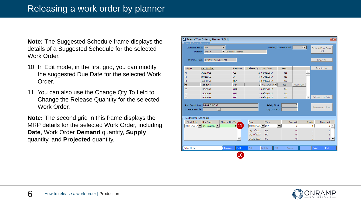**Note:** The Suggested Schedule frame displays the details of a Suggested Schedule for the selected Work Order.

- 10. In Edit mode, in the first grid, you can modify the suggested Due Date for the selected Work Order.
- 11. You can also use the Change Qty To field to Change the Release Quantity for the selected Work Order.

**Note:** The second grid in this frame displays the MRP details for the selected Work Order, including **Date**, Work Order **Demand** quantity, **Supply** quantity, and **Projected** quantity.

|                                                       | Work Order Release                                                  |                    |                        |               |                       |                |               |                                 |   |  |  |  |
|-------------------------------------------------------|---------------------------------------------------------------------|--------------------|------------------------|---------------|-----------------------|----------------|---------------|---------------------------------|---|--|--|--|
|                                                       | $\blacktriangledown$<br>Person Planner: Joe<br>Planner: <all></all> | Select All Records |                        |               | Working Days Forward: | $2 -$          |               | Refresh From Days<br><b>Fwd</b> |   |  |  |  |
|                                                       |                                                                     |                    |                        |               |                       |                |               |                                 |   |  |  |  |
| MRP Last Run: 4/20/2017 3:53:29 AM<br>Select All      |                                                                     |                    |                        |               |                       |                |               |                                 |   |  |  |  |
| $-Type$                                               | Part Number                                                         | Revision           | Release Qty Start Date |               | Select                |                |               | Deselect All                    |   |  |  |  |
| <b>FP</b>                                             | AW31906                                                             | C1                 |                        | 2 05/01/2017  | Yes                   |                | ▲             |                                 |   |  |  |  |
| <b>FP</b>                                             | BW15852                                                             | A                  |                        | 4 05/01/2017  | <b>Yes</b>            |                |               |                                 |   |  |  |  |
| <b>FS</b>                                             | 125-6968                                                            | 02A                |                        | 1 04/06/2017  | <b>Yes</b>            |                |               |                                 |   |  |  |  |
| lFS                                                   | 125-6968                                                            | 02A                |                        | 1 04/11/2017  | <b>Yes</b>            | View BOM       |               |                                 |   |  |  |  |
| <b>FS</b>                                             | 125-6968                                                            | 02A                |                        | 1 04/13/2017  | <b>No</b>             |                |               |                                 |   |  |  |  |
| FS                                                    | 125-6968                                                            | 02A                |                        | 1 04/18/2017  | <b>No</b>             |                |               |                                 |   |  |  |  |
| FS                                                    |                                                                     |                    |                        |               |                       |                |               |                                 |   |  |  |  |
|                                                       | 125-6968                                                            | 02A                |                        | 1 04/20/2017  | <b>No</b>             |                | ۰             | Release - No Print              |   |  |  |  |
|                                                       |                                                                     |                    |                        |               |                       |                |               |                                 |   |  |  |  |
|                                                       | Part Description: DROP TUBE AS.                                     |                    |                        | Safety Stock: |                       | 0              |               |                                 |   |  |  |  |
|                                                       | ▬                                                                   |                    |                        | Oty on Hand:  |                       | $\overline{0}$ |               | Release and Print               |   |  |  |  |
|                                                       |                                                                     |                    |                        |               |                       |                |               |                                 |   |  |  |  |
|                                                       | Suggested Schedule                                                  |                    |                        |               |                       |                |               |                                 |   |  |  |  |
|                                                       | Due Date                                                            | Change Qty To      | Date                   | Type          |                       | Demand         | <b>Supply</b> | Projected                       |   |  |  |  |
|                                                       | $04/11/2017$ $  04/19/2017$ $  $                                    | 11                 | 04/12/2017 NW          |               | $\blacktriangledown$  | 0              |               | 0<br>0                          |   |  |  |  |
| 1st Piece Sample:<br>$\blacktriangleright$ Start Date |                                                                     |                    | 04/13/2017             | <b>FS</b>     |                       | $\overline{0}$ |               | 1<br>1                          |   |  |  |  |
|                                                       |                                                                     |                    | 04/19/2017             | <b>FS</b>     |                       | 0              |               | $\overline{2}$<br>1             |   |  |  |  |
|                                                       |                                                                     |                    | 04/21/2017             | FS            |                       | $\mathbf{0}$   |               | 1<br>3                          | ▼ |  |  |  |

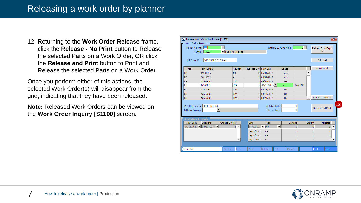12. Returning to the **Work Order Release** frame, click the **Release - No Print** button to Release the selected Parts on a Work Order, OR click the **Release and Print** button to Print and Release the selected Parts on a Work Order.

Once you perform either of this actions, the selected Work Order(s) will disappear from the grid, indicating that they have been released.

**Note:** Released Work Orders can be viewed on the **Work Order Inquiry [S1100]** screen.

|                                                  | Release Work Order by Planner [S1282]                               |                       |                   |                   |                       |                 |                          |                                 | $\overline{\mathbf{x}}$ |  |  |  |
|--------------------------------------------------|---------------------------------------------------------------------|-----------------------|-------------------|-------------------|-----------------------|-----------------|--------------------------|---------------------------------|-------------------------|--|--|--|
| Work Order Release                               |                                                                     |                       |                   |                   |                       |                 |                          |                                 |                         |  |  |  |
|                                                  | Person Planner: 10e<br>$\blacktriangledown$<br>Planner: <all></all> | I Select All Records  |                   |                   | Working Days Forward: | $2 -$           |                          | Refresh From Days<br><b>Fwd</b> |                         |  |  |  |
| MRP Last Run: 4/20/2017 3:53:29 AM<br>Select All |                                                                     |                       |                   |                   |                       |                 |                          |                                 |                         |  |  |  |
| $-$ Type                                         | Part Number                                                         | Revision              | Release Oty       | <b>Start Date</b> | Select                |                 |                          | Deselect All                    |                         |  |  |  |
| FP                                               | AW31906                                                             | C1                    |                   | 2 05/01/2017      | Yes                   |                 | ۸                        |                                 |                         |  |  |  |
| <b>FP</b>                                        | BW15852                                                             | A                     |                   | 4 05/01/2017      | Yes                   |                 |                          |                                 |                         |  |  |  |
| FS                                               | 125-6968                                                            | 02A                   |                   | 1 04/06/2017      | Yes                   |                 |                          |                                 |                         |  |  |  |
| FS                                               | 125-6968                                                            | loza                  |                   | 1 04/11/2017      | <b>Yes</b>            | <b>View BOM</b> |                          |                                 |                         |  |  |  |
| FS                                               | 125-6968                                                            | 02A                   |                   | 1 04/13/2017      | No                    |                 |                          |                                 |                         |  |  |  |
| <b>FS</b>                                        | 125-6968                                                            | 02A                   |                   | 1 04/18/2017      | <b>No</b>             |                 |                          |                                 |                         |  |  |  |
| FS                                               | 125-6968                                                            | 02A                   |                   | 1 04/20/2017      | <b>No</b>             |                 | $\overline{\phantom{a}}$ | Release - No Print              |                         |  |  |  |
|                                                  |                                                                     |                       |                   |                   |                       |                 |                          |                                 | $\overline{12}$         |  |  |  |
|                                                  | Part Description: DROP TUBE AS.                                     |                       |                   | Safety Stock:     |                       | 0               |                          | Release and Print               |                         |  |  |  |
| 1st Piece Sample:                                | $\blacktriangledown$                                                |                       |                   | Oty on Hand:      |                       | 0               |                          |                                 |                         |  |  |  |
|                                                  |                                                                     |                       |                   |                   |                       |                 |                          |                                 |                         |  |  |  |
|                                                  | Suggested Schedule                                                  |                       |                   |                   |                       |                 |                          |                                 |                         |  |  |  |
| $-Start Date$                                    | Due Date                                                            | Change Qty To         | Date              | Type              | Demand                |                 | Supply                   | Projected                       |                         |  |  |  |
|                                                  | $04/11/2017$ 04/19/2017                                             | 玉                     | $04/12/201$ = INV |                   | О                     | o               | $\circ$                  | 0                               |                         |  |  |  |
|                                                  |                                                                     |                       | 04/13/2017        | <b>FS</b>         |                       | 0               | 1                        | 1                               |                         |  |  |  |
|                                                  |                                                                     |                       | 04/19/2017        | <b>FS</b>         |                       | 0               | 1                        | 2                               |                         |  |  |  |
|                                                  |                                                                     |                       | 04/21/2017        | <b>FS</b>         |                       | 0               | 1                        | з.                              | $\blacktriangledown$    |  |  |  |
|                                                  |                                                                     |                       |                   |                   |                       |                 |                          |                                 |                         |  |  |  |
| F1 for Help                                      |                                                                     | Edit<br><b>Browse</b> | Add               | OK<br>Delete      | Cancel                |                 | Print                    | Exit                            |                         |  |  |  |

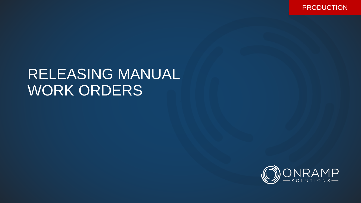PRODUCTION

## RELEASING MANUAL WORK ORDERS

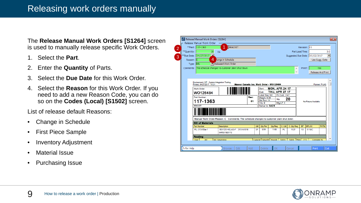The **Release Manual Work Orders [S1264]** screen is used to manually release specific Work Orders.

- 1. Select the **Part**.
- 2. Enter the **Quantity** of Parts.
- 3. Select the **Due Date** for this Work Order.
- 4. Select the **Reason** for this Work Order. If you need to add a new Reason Code, you can do so on the **Codes (Local) [S1502]** screen.

List of release default Reasons:

- Change in Schedule
- First Piece Sample
- Inventory Adjustment
- Material Issue
- Purchasing Issue

|                                                                                                                                                                                            | Release Manual Work Order<br>**Part: 117-1363 | BRACKET                                                                                |                                 |                                                    |                       |           |                          |                 | Revision: 01         |                   |  |
|--------------------------------------------------------------------------------------------------------------------------------------------------------------------------------------------|-----------------------------------------------|----------------------------------------------------------------------------------------|---------------------------------|----------------------------------------------------|-----------------------|-----------|--------------------------|-----------------|----------------------|-------------------|--|
| **Quantity:                                                                                                                                                                                | 20                                            | <b>FA</b>                                                                              |                                 | Part Lead Time:<br>3.0<br>$\overline{\phantom{a}}$ |                       |           |                          |                 |                      |                   |  |
|                                                                                                                                                                                            | E<br>**Due Date: 04/27/2017                   |                                                                                        |                                 | Suggested Due Date: 05/02/2017                     |                       |           |                          |                 |                      |                   |  |
|                                                                                                                                                                                            | 4<br>Reason: C                                | hange in Schedule                                                                      |                                 |                                                    |                       |           |                          |                 |                      | Use Sugg. Date    |  |
|                                                                                                                                                                                            | Type: REL                                     | Released Work Order                                                                    |                                 |                                                    |                       |           |                          |                 |                      |                   |  |
|                                                                                                                                                                                            |                                               | Comments: The schedule changed to customer plant shut down                             |                                 |                                                    |                       |           | À.                       | Print?:         |                      | Yes               |  |
|                                                                                                                                                                                            |                                               |                                                                                        |                                 |                                                    |                       |           | $\overline{\phantom{a}}$ |                 |                      | Release And Print |  |
|                                                                                                                                                                                            |                                               |                                                                                        |                                 |                                                    |                       |           |                          |                 |                      |                   |  |
| Environment: SIT - System Integration Testing<br>Manoor Canada Ino. Work Order - W0126484<br>Printed: 04/27/2017 15:21<br>Planner: F-LAS<br><b>MON, APR 24 17</b><br>Start:<br>Work Order: |                                               |                                                                                        |                                 |                                                    |                       |           |                          |                 |                      |                   |  |
|                                                                                                                                                                                            | WO126484                                      |                                                                                        |                                 | Due:                                               | <b>THU, APR 27 17</b> |           |                          |                 |                      |                   |  |
|                                                                                                                                                                                            |                                               |                                                                                        | Label Req: NO<br>Pri.Cust.: CAT |                                                    |                       |           |                          |                 |                      |                   |  |
|                                                                                                                                                                                            |                                               |                                                                                        |                                 |                                                    |                       |           |                          |                 |                      |                   |  |
|                                                                                                                                                                                            | Part Number:                                  |                                                                                        | Rev:                            | Weight: 6.35<br>Std Run: 14                        | Qty:                  |           | 20                       |                 |                      |                   |  |
|                                                                                                                                                                                            | 117-1363                                      |                                                                                        | 01                              | Yrly: 8                                            |                       | Mfg LT: 3 |                          |                 | No Picture Available |                   |  |
|                                                                                                                                                                                            | <b>BRACKET</b>                                |                                                                                        |                                 | Deliver to: 5423                                   |                       |           |                          |                 |                      |                   |  |
|                                                                                                                                                                                            |                                               |                                                                                        |                                 |                                                    |                       |           |                          |                 |                      |                   |  |
|                                                                                                                                                                                            |                                               |                                                                                        |                                 |                                                    |                       |           |                          |                 |                      |                   |  |
|                                                                                                                                                                                            |                                               | Manual Work Order-Reason: C Comments: The schedule changed to customer plant shut down |                                 |                                                    |                       |           |                          |                 |                      |                   |  |
|                                                                                                                                                                                            | <b>Bill of Materials</b>                      |                                                                                        |                                 |                                                    |                       |           |                          |                 |                      |                   |  |
|                                                                                                                                                                                            | <b>Part Number</b>                            | <b>Description</b>                                                                     |                                 | <b>UM</b><br><b>Oty Per</b>                        | <b>Qty Reg</b>        | C. UM     | C. Qty Req               | <b>BF</b>       | <b>BFLOC</b>         | PHTM              |  |
|                                                                                                                                                                                            | PL-.313-50w-1                                 | 60X120 HSLAS-F .313 A1018<br>GR50/1E0170                                               |                                 | SF<br>0.58                                         | 11.60                 | PL.       | 0.23                     | 10 <sub>1</sub> | 5119C                |                   |  |
|                                                                                                                                                                                            | <b>Routing</b>                                |                                                                                        |                                 |                                                    |                       |           |                          |                 |                      |                   |  |